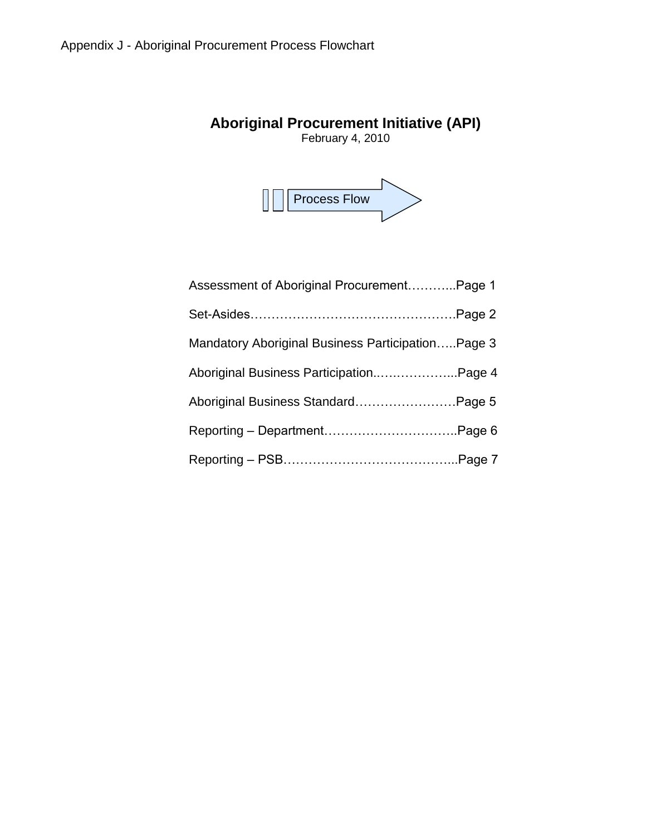# **Aboriginal Procurement Initiative (API)**

February 4, 2010



| Assessment of Aboriginal ProcurementPage 1        |  |
|---------------------------------------------------|--|
|                                                   |  |
| Mandatory Aboriginal Business ParticipationPage 3 |  |
| Aboriginal Business ParticipationPage 4           |  |
| Aboriginal Business StandardPage 5                |  |
|                                                   |  |
|                                                   |  |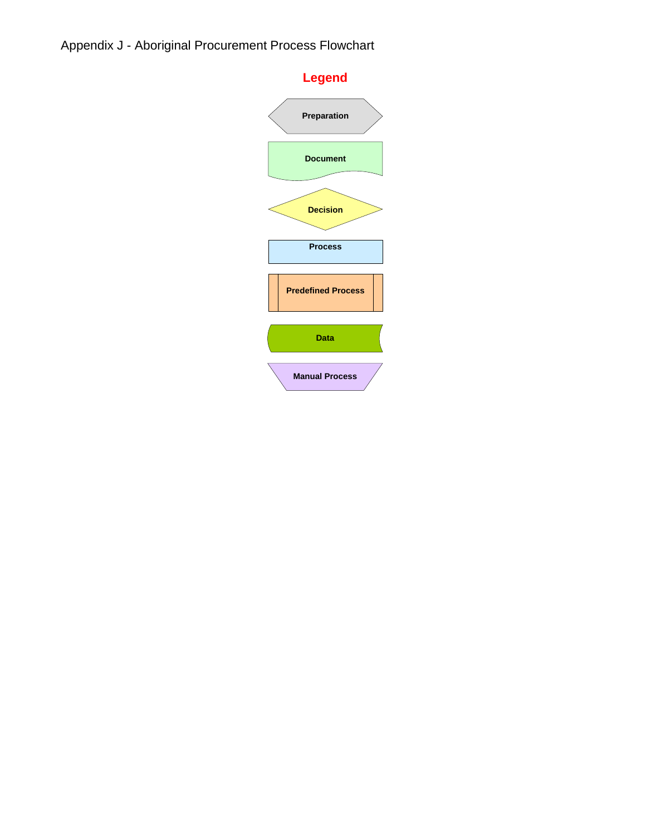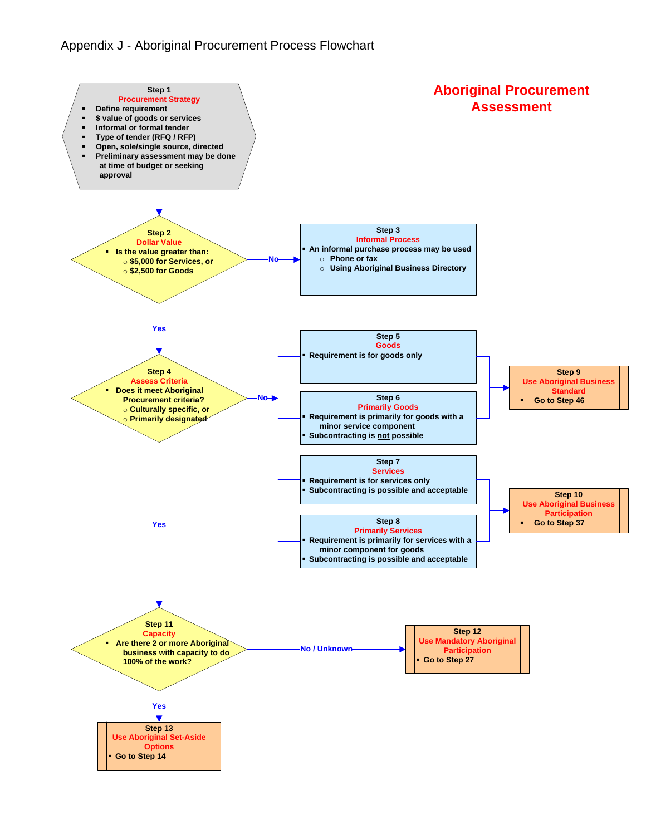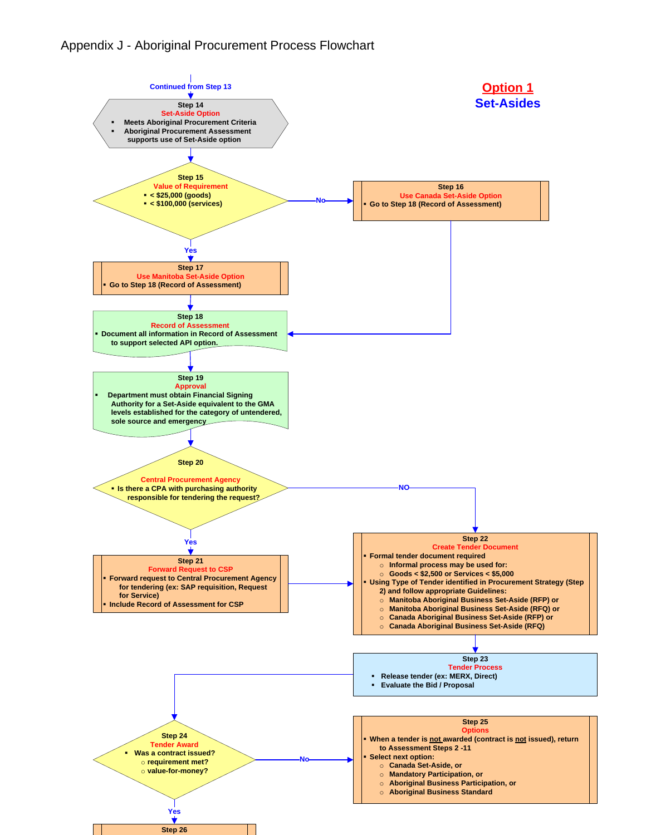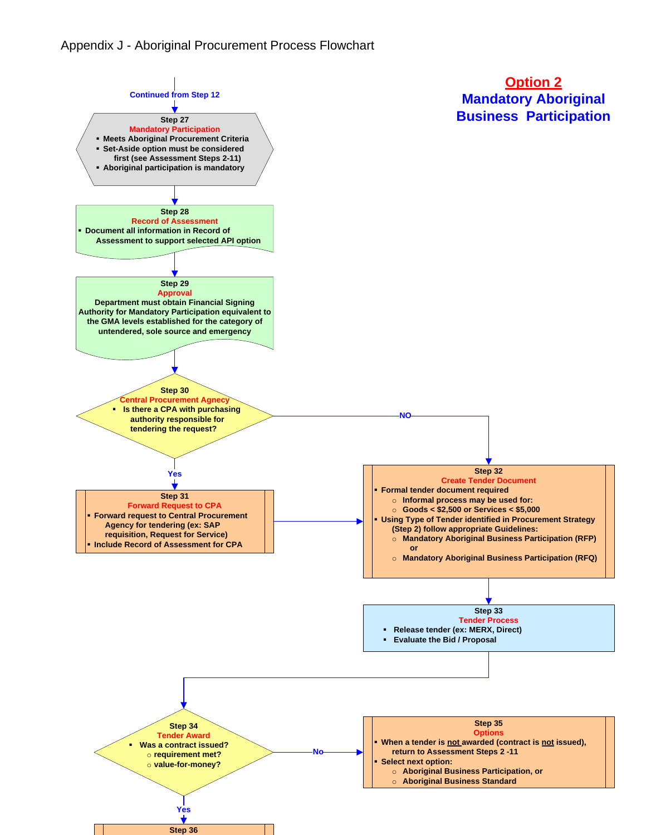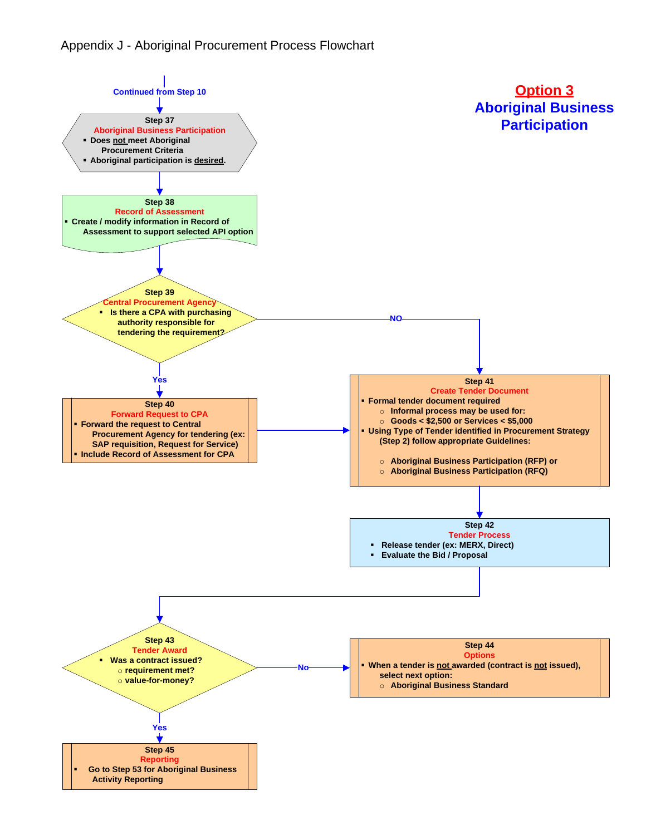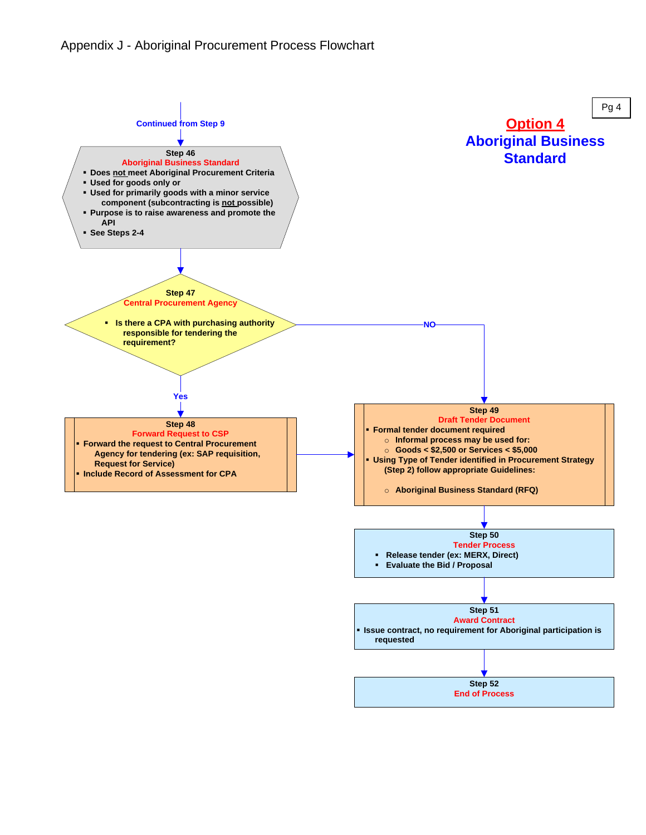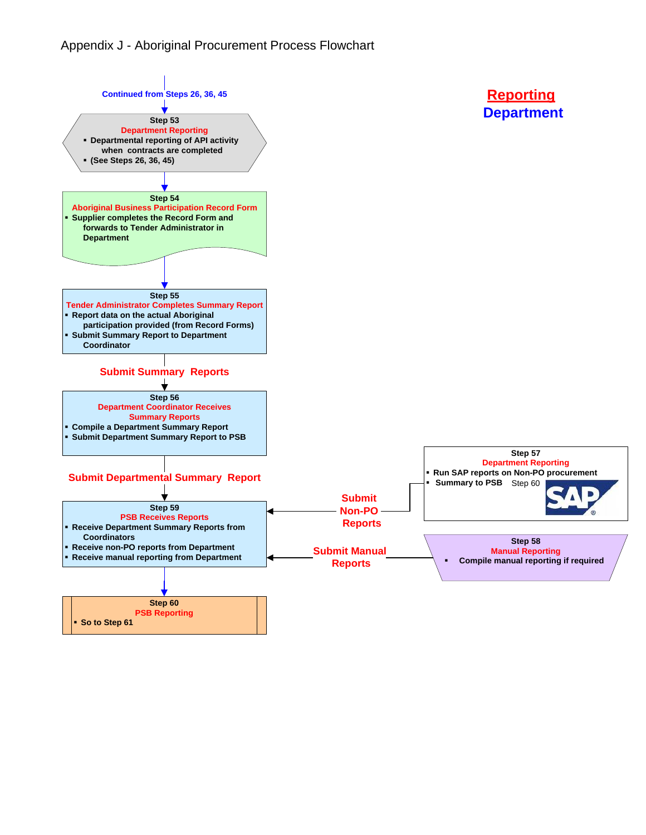